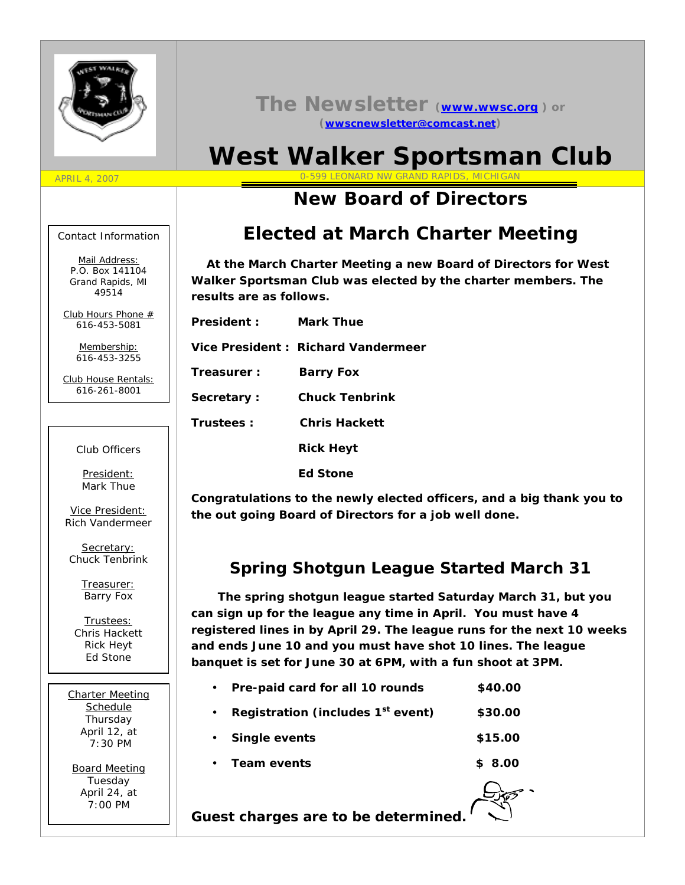

#### **The Newsletter (www.wwsc.org ) or (wwscnewsletter@comcast.net)**

# **West Walker Sportsman Club**

## **New Board of Directors**

### **Elected at March Charter Meeting**

 **At the March Charter Meeting a new Board of Directors for West Walker Sportsman Club was elected by the charter members. The results are as follows.**

| President: | Mark Thue                          |
|------------|------------------------------------|
|            | Vice President: Richard Vandermeer |
| Treasurer: | Barry Fox                          |
| Secretary: | Chuck Tenbrink                     |
| Trustees:  | Chris Hackett                      |
|            | <b>Rick Heyt</b>                   |

 **Ed Stone**

**Congratulations to the newly elected officers, and a big thank you to the out going Board of Directors for a job well done.**

#### **Spring Shotgun League Started March 31**

 **The spring shotgun league started Saturday March 31, but you can sign up for the league any time in April. You must have 4 registered lines in by April 29. The league runs for the next 10 weeks and ends June 10 and you must have shot 10 lines. The league banquet is set for June 30 at 6PM, with a fun shoot at 3PM.**

| Pre-paid card for all 10 rounds               | \$40.00 |
|-----------------------------------------------|---------|
| Registration (includes 1 <sup>st</sup> event) | \$30.00 |
| Single events                                 | \$15.00 |
| Team events                                   | \$8.00  |

**Guest charges are to be determined.**

Contact Information

APRIL 4, 2007

Mail Address: *P.O. Box 141104 Grand Rapids, MI 49514*

Club Hours Phone # *616-453-5081*

> Membership: *616-453-3255*

Club House Rentals: *616-261-8001*

Club Officers

President: Mark Thue

Vice President: Rich Vandermeer

Secretary: Chuck Tenbrink

> Treasurer: Barry Fox

Trustees: Chris Hackett Rick Heyt Ed Stone

Charter Meeting **Schedule** Thursday April 12, at 7:30 PM

Board Meeting Tuesday April 24, at 7:00 PM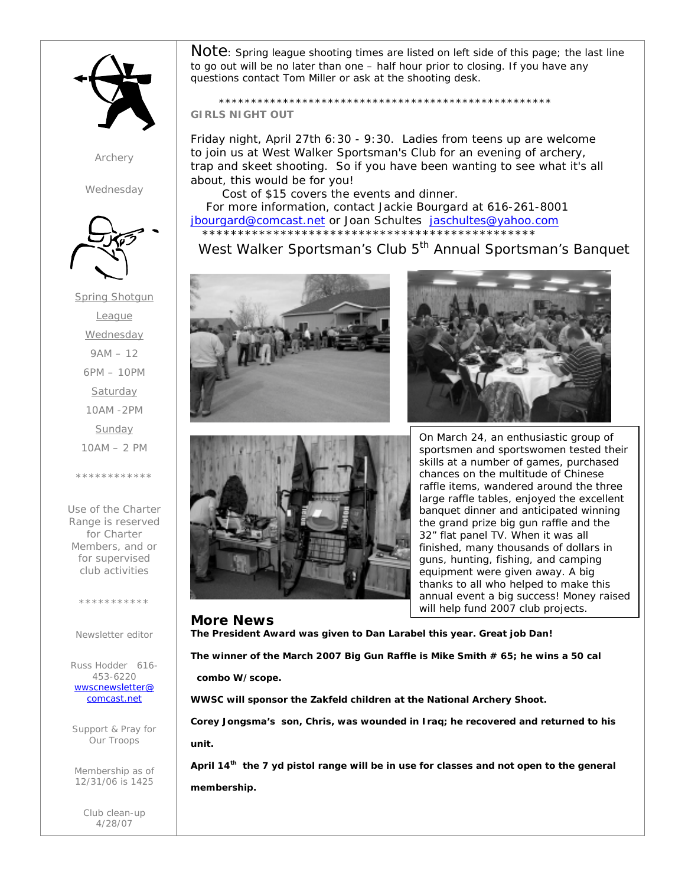

*Archery*

*Wednesday*



Spring Shotgun League **Wednesday** 9AM – 12 6PM – 10PM **Saturday** 10AM -2PM Sunday 10AM – 2 PM \*\*\*\*\*\*\*\*\*

Use of the Charter Range is reserved for Charter Members, and or for supervised club activities

\*\*\*\*\*\*\*\*\*\*\*

Newsletter editor

Russ Hodder 616- 453-6220 *wwscnewsletter@ comcast.net*

Support & Pray for Our Troops

Membership as of 12/31/06 is 1425

> Club clean-up 4/28/07

 $\mathsf{Note}\colon$  Spring league shooting times are listed on left side of this page; the last line to go out will be no later than one – half hour prior to closing. If you have any questions contact Tom Miller or ask at the shooting desk.

 \*\*\*\*\*\*\*\*\*\*\*\*\*\*\*\*\*\*\*\*\*\*\*\*\*\*\*\*\*\*\*\*\*\*\*\*\*\*\*\*\*\*\*\*\*\*\*\*\*\*\*\* **GIRLS NIGHT OUT**

Friday night, April 27th 6:30 - 9:30. Ladies from teens up are welcome to join us at West Walker Sportsman's Club for an evening of archery, trap and skeet shooting. So if you have been wanting to see what it's all about, this would be for you!

 Cost of \$15 covers the events and dinner. For more information, contact Jackie Bourgard at 616-261-8001 jbourgard@comcast.net or Joan Schultes jaschultes@yahoo.com \*\*\*\*\*\*\*\*\*\*\*\*\*\*\*\*\*\*\*\*\*\*\*\*\*\*\*\*\*\*\*\*\*\*\*\*\*\*\*\*\*\*\*\*\*\*\*

West Walker Sportsman's Club 5<sup>th</sup> Annual Sportsman's Banquet







On March 24, an enthusiastic group of sportsmen and sportswomen tested their skills at a number of games, purchased chances on the multitude of Chinese raffle items, wandered around the three large raffle tables, enjoyed the excellent banquet dinner and anticipated winning the grand prize big gun raffle and the 32" flat panel TV. When it was all finished, many thousands of dollars in guns, hunting, fishing, and camping equipment were given away. A big thanks to all who helped to make this annual event a big success! Money raised will help fund 2007 club projects.

**More News The President Award was given to Dan Larabel this year. Great job Dan! The winner of the March 2007 Big Gun Raffle is Mike Smith # 65; he wins a 50 cal combo W/scope.**

**WWSC will sponsor the Zakfeld children at the National Archery Shoot.**

**Corey Jongsma's son, Chris, was wounded in Iraq; he recovered and returned to his unit.**

**April 14th the 7 yd pistol range will be in use for classes and not open to the general membership.**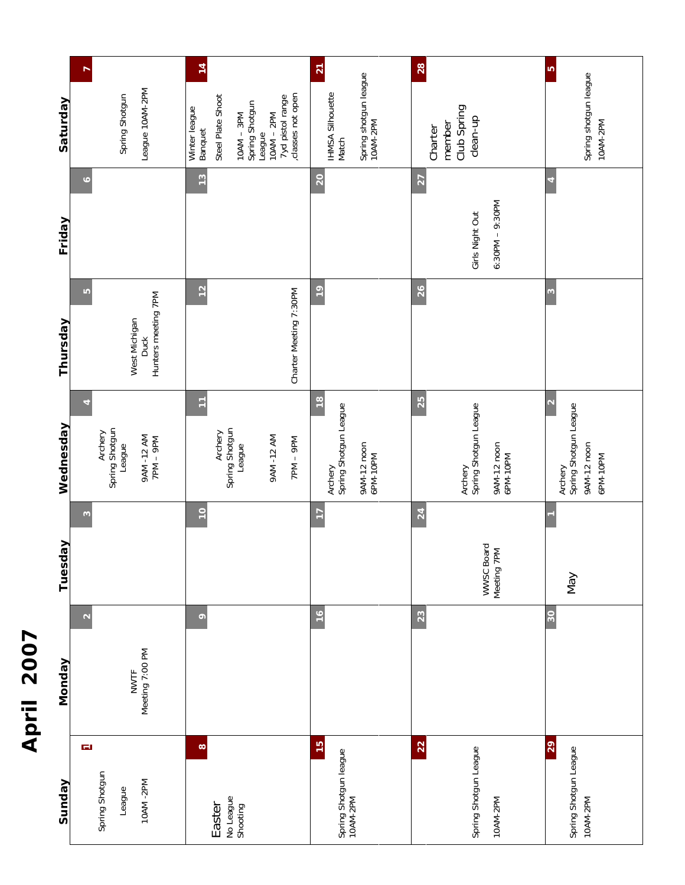|                                                                  | April 2007                                          |                |                                                                    |                                                           |                 |                                                                                                                                          |
|------------------------------------------------------------------|-----------------------------------------------------|----------------|--------------------------------------------------------------------|-----------------------------------------------------------|-----------------|------------------------------------------------------------------------------------------------------------------------------------------|
| Sunday                                                           | <b>Monday</b>                                       | Tuesday        | Wednesday                                                          | Thursday                                                  | Friday          | Saturday                                                                                                                                 |
| $\overline{\phantom{m}}$<br>Spring Shotgun<br>10AM-2PM<br>League | $\mathbf{\Omega}$<br>Meeting 7:00 PM<br><b>NWTF</b> | $\mathfrak{g}$ | Archery<br>Spring Shotgun<br>League<br>9AM -12 AM<br>7PM – 9PM     | LQ<br>Hunters meeting 7PM<br>West Michigan<br><b>Duck</b> | G               | Spring Shotgur<br>League 10AM-2F                                                                                                         |
| $\infty$<br>No League<br>Shooting<br>Easter                      | $\circ$                                             | $\frac{1}{2}$  | Η<br>Archery<br>Spring Shotgun<br>League<br>9AM-12 AM<br>Nd6 - Nd2 | $\frac{2}{3}$<br>Charter Meeting 7:30PM                   | $\frac{13}{2}$  | Steel Plate Shoo<br>Spring Shotgun<br>League<br>10AM – 2PM<br>10AM – 2PM<br>classes not oper<br>Winter league<br>$10AM - 3PM$<br>Banquet |
| $\frac{15}{2}$<br>Spring Shotgun league<br>10AM-2PM              | $\frac{6}{ }$                                       | $\overline{1}$ | $\frac{8}{1}$<br>Archery<br>Spring Shotgun League<br>9AM-12 noon   | $\frac{9}{2}$                                             | $\overline{20}$ | <b>IHMSA Silhouett</b><br>Spring shotgun I<br>Match                                                                                      |

| Spring shotgun league<br>Spring shotgun league<br>10AM-2PM<br>League 10AM-2PM<br><b>IHMSA Silhouette</b><br>Spring Shotgun<br>classes not open<br>Steel Plate Shoot<br>7yd pistol range<br>Spring Shotgun<br>Club Spring<br>Winter league<br>$10AM - 2PM$<br>$10AM - 3PM$<br>clean-up<br>10AM-2PM<br>member<br>Charter<br>Banquet<br>League<br>Match<br>$\frac{3}{2}$<br>20<br>$\overline{c}$<br>∘<br>$6:30PM - 9:30PM$<br>Girls Night Out<br>12<br>$\frac{6}{1}$<br>26<br>Charter Meeting 7:30PM<br>LO<br>$\infty$<br>Hunters meeting 7PM<br>West Michigan<br><b>Duck</b><br>$\frac{8}{1}$<br>25<br>Ξ<br>Archery<br>Spring Shotgun League<br>Archery<br>Spring Shotgun League<br>Archery<br>Spring Shotgun League<br>Spring Shotgun<br>Spring Shotgun<br>Archery<br>Archery<br>9AM -12 AM<br>7PM – 9PM<br>9AM-12 AM<br>Ved - MdZ<br>9AM-12 noon<br>9AM-12 noon<br>9AM-12 noon<br>League<br>League<br>6PM-10PM<br>6PM-10PM<br>6PM-10PM<br>$\frac{1}{2}$<br>24<br>$\overline{17}$<br>$\infty$<br>WWSC Board<br>Meeting 7PM<br>Nay<br>16<br>30<br>23<br>$\circ$<br>$\mathbf{\Omega}$<br>Meeting 7:00 PM<br><b>NWTF</b> | Monday | Tuesday | Wednesday | Thursday | Friday | Saturday        |
|----------------------------------------------------------------------------------------------------------------------------------------------------------------------------------------------------------------------------------------------------------------------------------------------------------------------------------------------------------------------------------------------------------------------------------------------------------------------------------------------------------------------------------------------------------------------------------------------------------------------------------------------------------------------------------------------------------------------------------------------------------------------------------------------------------------------------------------------------------------------------------------------------------------------------------------------------------------------------------------------------------------------------------------------------------------------------------------------------------------------|--------|---------|-----------|----------|--------|-----------------|
|                                                                                                                                                                                                                                                                                                                                                                                                                                                                                                                                                                                                                                                                                                                                                                                                                                                                                                                                                                                                                                                                                                                      |        |         |           |          |        | r               |
|                                                                                                                                                                                                                                                                                                                                                                                                                                                                                                                                                                                                                                                                                                                                                                                                                                                                                                                                                                                                                                                                                                                      |        |         |           |          |        | 14              |
|                                                                                                                                                                                                                                                                                                                                                                                                                                                                                                                                                                                                                                                                                                                                                                                                                                                                                                                                                                                                                                                                                                                      |        |         |           |          |        | $\overline{21}$ |
|                                                                                                                                                                                                                                                                                                                                                                                                                                                                                                                                                                                                                                                                                                                                                                                                                                                                                                                                                                                                                                                                                                                      |        |         |           |          |        | 28              |
|                                                                                                                                                                                                                                                                                                                                                                                                                                                                                                                                                                                                                                                                                                                                                                                                                                                                                                                                                                                                                                                                                                                      |        |         |           |          |        | S               |